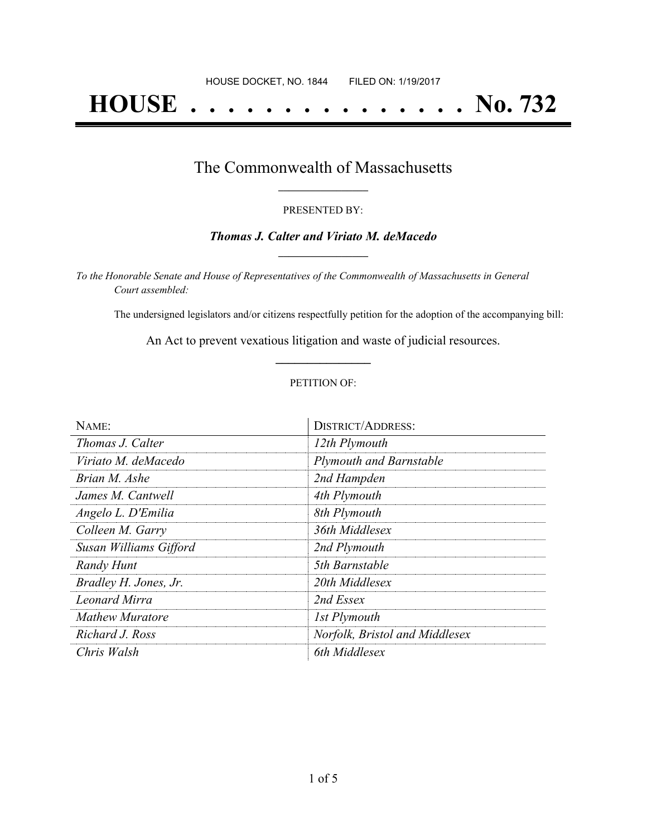# **HOUSE . . . . . . . . . . . . . . . No. 732**

## The Commonwealth of Massachusetts **\_\_\_\_\_\_\_\_\_\_\_\_\_\_\_\_\_**

#### PRESENTED BY:

#### *Thomas J. Calter and Viriato M. deMacedo* **\_\_\_\_\_\_\_\_\_\_\_\_\_\_\_\_\_**

*To the Honorable Senate and House of Representatives of the Commonwealth of Massachusetts in General Court assembled:*

The undersigned legislators and/or citizens respectfully petition for the adoption of the accompanying bill:

An Act to prevent vexatious litigation and waste of judicial resources. **\_\_\_\_\_\_\_\_\_\_\_\_\_\_\_**

#### PETITION OF:

| NAME:                  | <b>DISTRICT/ADDRESS:</b>       |
|------------------------|--------------------------------|
| Thomas J. Calter       | 12th Plymouth                  |
| Viriato M. deMacedo    | Plymouth and Barnstable        |
| Brian M. Ashe          | 2nd Hampden                    |
| James M. Cantwell      | 4th Plymouth                   |
| Angelo L. D'Emilia     | 8th Plymouth                   |
| Colleen M. Garry       | 36th Middlesex                 |
| Susan Williams Gifford | 2nd Plymouth                   |
| <b>Randy Hunt</b>      | 5th Barnstable                 |
| Bradley H. Jones, Jr.  | 20th Middlesex                 |
| <b>Leonard Mirra</b>   | 2nd Essex                      |
| <b>Mathew Muratore</b> | 1st Plymouth                   |
| Richard J. Ross        | Norfolk, Bristol and Middlesex |
| Chris Walsh            | 6th Middlesex                  |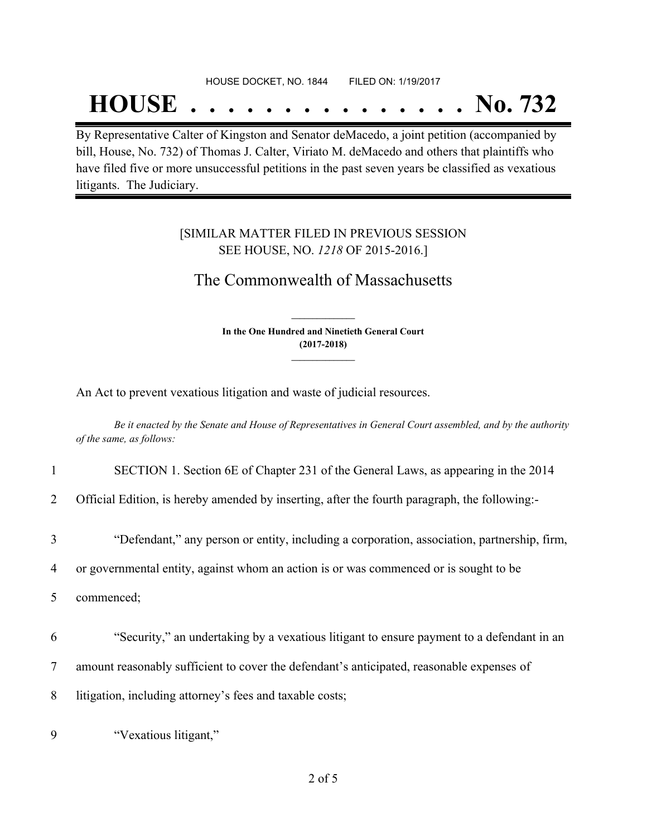#### HOUSE DOCKET, NO. 1844 FILED ON: 1/19/2017

## **HOUSE . . . . . . . . . . . . . . . No. 732**

By Representative Calter of Kingston and Senator deMacedo, a joint petition (accompanied by bill, House, No. 732) of Thomas J. Calter, Viriato M. deMacedo and others that plaintiffs who have filed five or more unsuccessful petitions in the past seven years be classified as vexatious litigants. The Judiciary.

#### [SIMILAR MATTER FILED IN PREVIOUS SESSION SEE HOUSE, NO. *1218* OF 2015-2016.]

### The Commonwealth of Massachusetts

**In the One Hundred and Ninetieth General Court (2017-2018) \_\_\_\_\_\_\_\_\_\_\_\_\_\_\_**

**\_\_\_\_\_\_\_\_\_\_\_\_\_\_\_**

An Act to prevent vexatious litigation and waste of judicial resources.

Be it enacted by the Senate and House of Representatives in General Court assembled, and by the authority *of the same, as follows:*

|  |  | SECTION 1. Section 6E of Chapter 231 of the General Laws, as appearing in the 2014 |  |  |
|--|--|------------------------------------------------------------------------------------|--|--|
|  |  |                                                                                    |  |  |

2 Official Edition, is hereby amended by inserting, after the fourth paragraph, the following:-

3 "Defendant," any person or entity, including a corporation, association, partnership, firm,

4 or governmental entity, against whom an action is or was commenced or is sought to be

5 commenced;

6 "Security," an undertaking by a vexatious litigant to ensure payment to a defendant in an

7 amount reasonably sufficient to cover the defendant's anticipated, reasonable expenses of

8 litigation, including attorney's fees and taxable costs;

9 "Vexatious litigant,"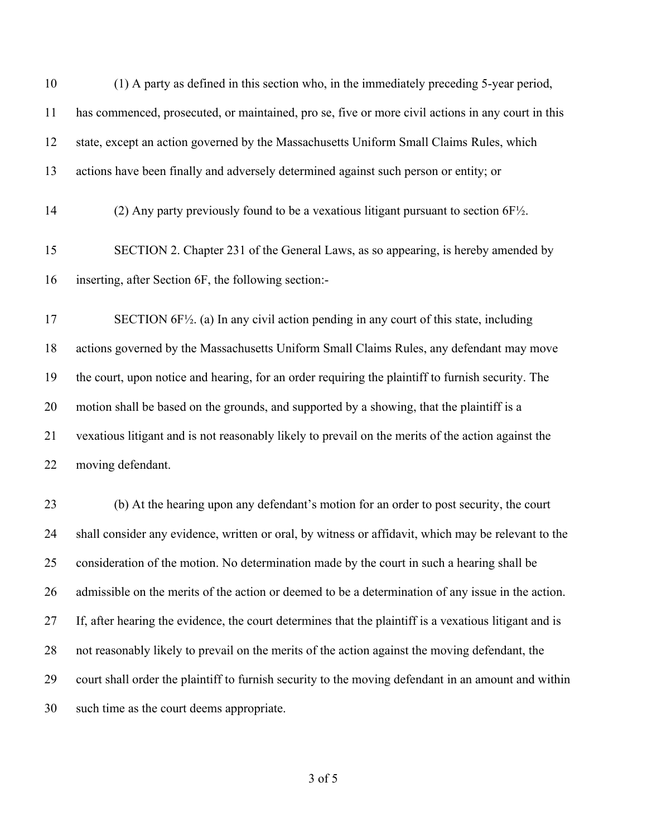| 10 | (1) A party as defined in this section who, in the immediately preceding 5-year period,                |
|----|--------------------------------------------------------------------------------------------------------|
| 11 | has commenced, prosecuted, or maintained, pro se, five or more civil actions in any court in this      |
| 12 | state, except an action governed by the Massachusetts Uniform Small Claims Rules, which                |
| 13 | actions have been finally and adversely determined against such person or entity; or                   |
| 14 | (2) Any party previously found to be a vexatious litigant pursuant to section $6F\frac{1}{2}$ .        |
| 15 | SECTION 2. Chapter 231 of the General Laws, as so appearing, is hereby amended by                      |
| 16 | inserting, after Section 6F, the following section:-                                                   |
| 17 | SECTION $6F\frac{1}{2}$ . (a) In any civil action pending in any court of this state, including        |
| 18 | actions governed by the Massachusetts Uniform Small Claims Rules, any defendant may move               |
| 19 | the court, upon notice and hearing, for an order requiring the plaintiff to furnish security. The      |
| 20 | motion shall be based on the grounds, and supported by a showing, that the plaintiff is a              |
| 21 | vexatious litigant and is not reasonably likely to prevail on the merits of the action against the     |
| 22 | moving defendant.                                                                                      |
| 23 | (b) At the hearing upon any defendant's motion for an order to post security, the court                |
| 24 | shall consider any evidence, written or oral, by witness or affidavit, which may be relevant to the    |
| 25 | consideration of the motion. No determination made by the court in such a hearing shall be             |
| 26 | admissible on the merits of the action or deemed to be a determination of any issue in the action.     |
| 27 | If, after hearing the evidence, the court determines that the plaintiff is a vexatious litigant and is |
| 28 | not reasonably likely to prevail on the merits of the action against the moving defendant, the         |
| 29 | court shall order the plaintiff to furnish security to the moving defendant in an amount and within    |
| 30 | such time as the court deems appropriate.                                                              |

of 5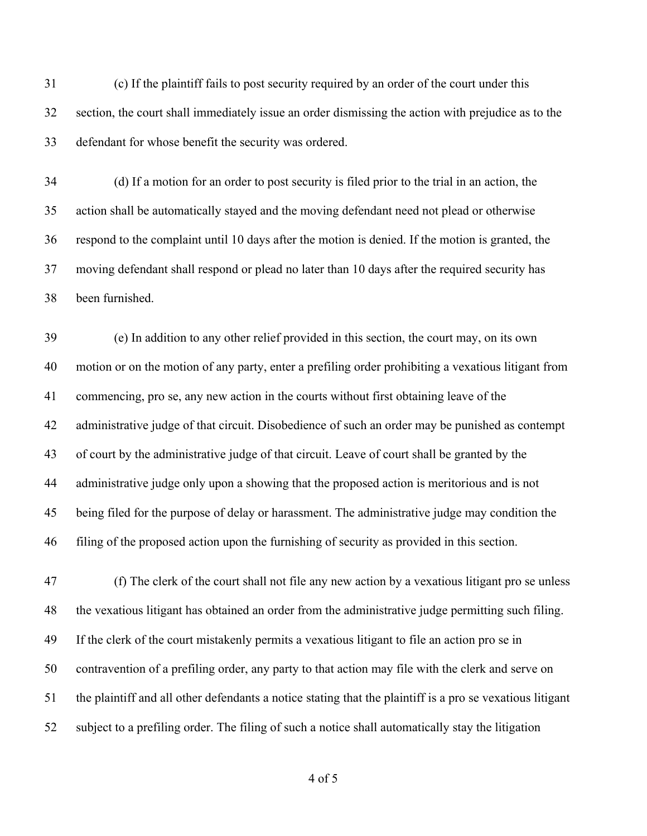(c) If the plaintiff fails to post security required by an order of the court under this section, the court shall immediately issue an order dismissing the action with prejudice as to the defendant for whose benefit the security was ordered.

 (d) If a motion for an order to post security is filed prior to the trial in an action, the action shall be automatically stayed and the moving defendant need not plead or otherwise respond to the complaint until 10 days after the motion is denied. If the motion is granted, the moving defendant shall respond or plead no later than 10 days after the required security has been furnished.

 (e) In addition to any other relief provided in this section, the court may, on its own motion or on the motion of any party, enter a prefiling order prohibiting a vexatious litigant from commencing, pro se, any new action in the courts without first obtaining leave of the administrative judge of that circuit. Disobedience of such an order may be punished as contempt of court by the administrative judge of that circuit. Leave of court shall be granted by the administrative judge only upon a showing that the proposed action is meritorious and is not being filed for the purpose of delay or harassment. The administrative judge may condition the filing of the proposed action upon the furnishing of security as provided in this section.

 (f) The clerk of the court shall not file any new action by a vexatious litigant pro se unless the vexatious litigant has obtained an order from the administrative judge permitting such filing. If the clerk of the court mistakenly permits a vexatious litigant to file an action pro se in contravention of a prefiling order, any party to that action may file with the clerk and serve on the plaintiff and all other defendants a notice stating that the plaintiff is a pro se vexatious litigant subject to a prefiling order. The filing of such a notice shall automatically stay the litigation

of 5